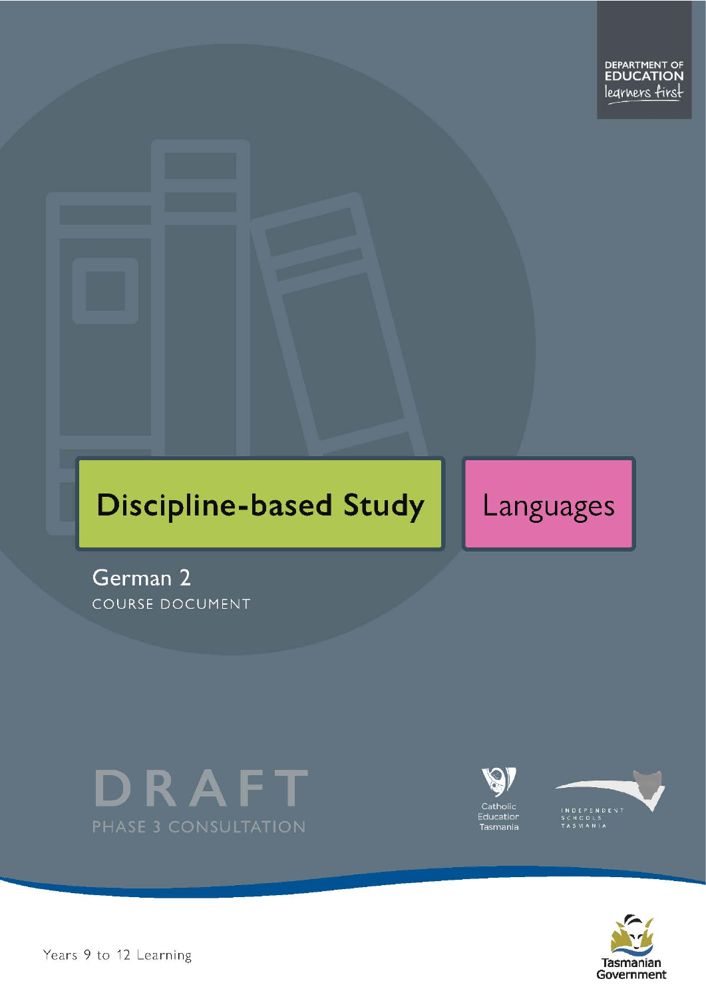

# **Discipline-based Study**

# Languages

German 2 COURSE DOCUMENT









Pears 9 to 12 Learning and the set of 2 Page 1 of 27 Page 1 of 27 Page 1 of 27 Page 1 of 27 Page 1 of 27 Page 1 of 27 Page 1 of 27 Page 1 of 27 Page 1 of 27 Page 1 of 27 Page 1 of 27 Page 1 of 27 Page 1 of 27 Page 1 of 27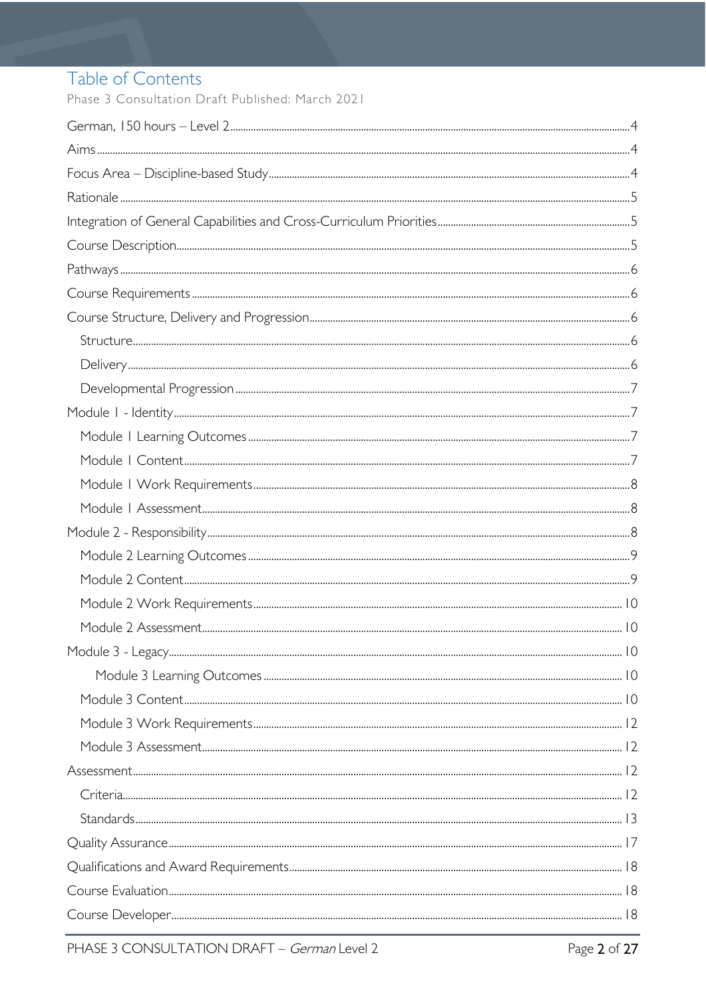# Table of Contents

Phase 3 Consultation Draft Published: March 2021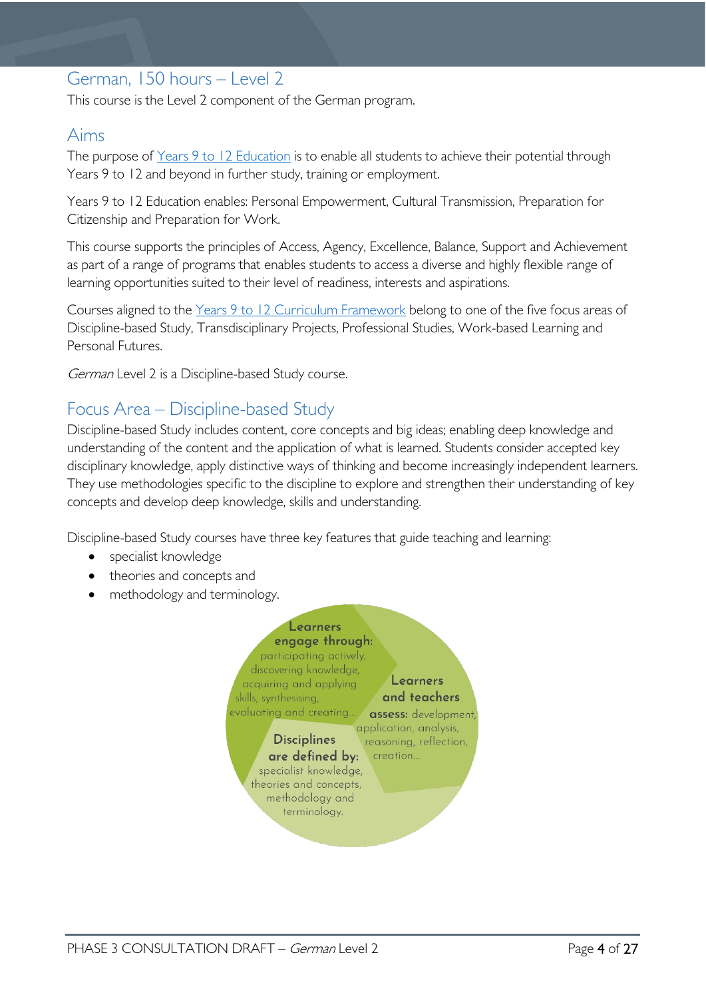# <span id="page-3-0"></span>German, 150 hours – Level 2

This course is the Level 2 component of the German program.

### <span id="page-3-1"></span>Aims

The purpose of Years 9 to 12 [Education](https://publicdocumentcentre.education.tas.gov.au/library/Shared%20Documents/Years-9-to-12-Education-Framework.pdf) is to enable all students to achieve their potential through Years 9 to 12 and beyond in further study, training or employment.

Years 9 to 12 Education enables: Personal Empowerment, Cultural Transmission, Preparation for Citizenship and Preparation for Work.

This course supports the principles of Access, Agency, Excellence, Balance, Support and Achievement as part of a range of programs that enables students to access a diverse and highly flexible range of learning opportunities suited to their level of readiness, interests and aspirations.

Courses aligned to the Years 9 to 12 Curriculum [Framework](https://publicdocumentcentre.education.tas.gov.au/library/Shared%20Documents/Education%209-12%20Frameworks%20A3%20WEB%20POSTER.pdf) belong to one of the five focus areas of Discipline-based Study, Transdisciplinary Projects, Professional Studies, Work-based Learning and Personal Futures.

German Level 2 is a Discipline-based Study course.

### <span id="page-3-2"></span>Focus Area – Discipline-based Study

Discipline-based Study includes content, core concepts and big ideas; enabling deep knowledge and understanding of the content and the application of what is learned. Students consider accepted key disciplinary knowledge, apply distinctive ways of thinking and become increasingly independent learners. They use methodologies specific to the discipline to explore and strengthen their understanding of key concepts and develop deep knowledge, skills and understanding.

Discipline-based Study courses have three key features that guide teaching and learning:

- specialist knowledge
- theories and concepts and
- methodology and terminology.

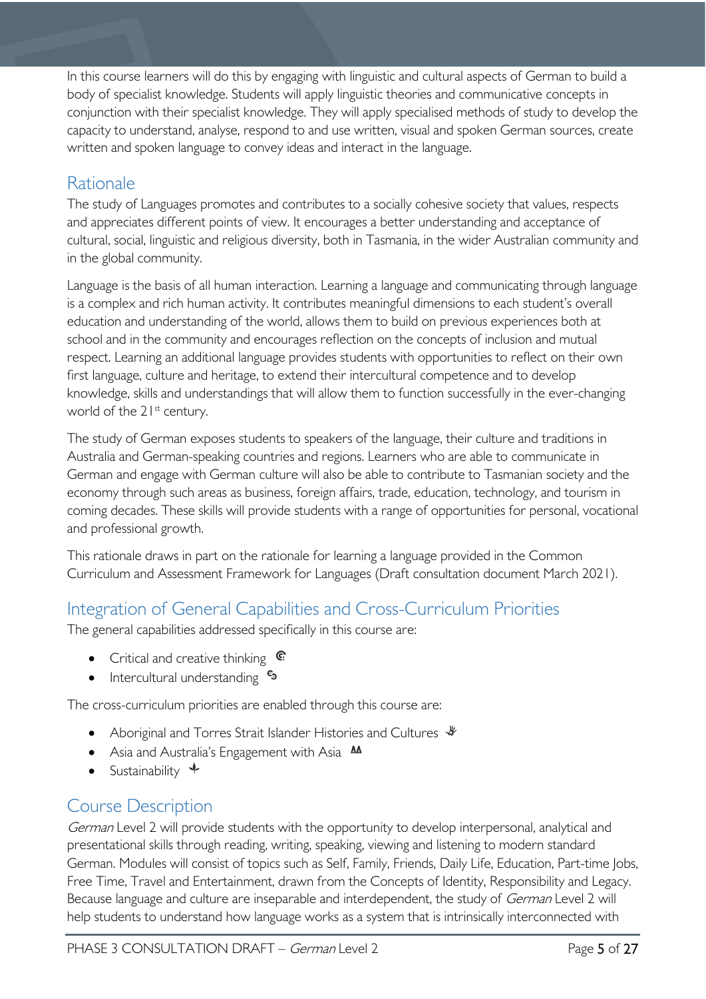In this course learners will do this by engaging with linguistic and cultural aspects of German to build a body of specialist knowledge. Students will apply linguistic theories and communicative concepts in conjunction with their specialist knowledge. They will apply specialised methods of study to develop the capacity to understand, analyse, respond to and use written, visual and spoken German sources, create written and spoken language to convey ideas and interact in the language.

# <span id="page-4-0"></span>**Rationale**

The study of Languages promotes and contributes to a socially cohesive society that values, respects and appreciates different points of view. It encourages a better understanding and acceptance of cultural, social, linguistic and religious diversity, both in Tasmania, in the wider Australian community and in the global community.

Language is the basis of all human interaction. Learning a language and communicating through language is a complex and rich human activity. It contributes meaningful dimensions to each student's overall education and understanding of the world, allows them to build on previous experiences both at school and in the community and encourages reflection on the concepts of inclusion and mutual respect. Learning an additional language provides students with opportunities to reflect on their own first language, culture and heritage, to extend their intercultural competence and to develop knowledge, skills and understandings that will allow them to function successfully in the ever-changing world of the 21<sup>st</sup> century.

The study of German exposes students to speakers of the language, their culture and traditions in Australia and German-speaking countries and regions. Learners who are able to communicate in German and engage with German culture will also be able to contribute to Tasmanian society and the economy through such areas as business, foreign affairs, trade, education, technology, and tourism in coming decades. These skills will provide students with a range of opportunities for personal, vocational and professional growth.

This rationale draws in part on the rationale for learning a language provided in the Common Curriculum and Assessment Framework for Languages (Draft consultation document March 2021).

# <span id="page-4-1"></span>Integration of General Capabilities and Cross-Curriculum Priorities

The general capabilities addressed specifically in this course are:

- Critical and creative thinking  $\epsilon$
- Intercultural understanding  $\frac{e_3}{e_3}$

The cross-curriculum priorities are enabled through this course are:

- Aboriginal and Torres Strait Islander Histories and Cultures  $\mathcal$
- Asia and Australia's Engagement with Asia **AA**
- Sustainability  $\triangleleft$

# <span id="page-4-2"></span>Course Description

German Level 2 will provide students with the opportunity to develop interpersonal, analytical and presentational skills through reading, writing, speaking, viewing and listening to modern standard German. Modules will consist of topics such as Self, Family, Friends, Daily Life, Education, Part-time Jobs, Free Time, Travel and Entertainment, drawn from the Concepts of Identity, Responsibility and Legacy. Because language and culture are inseparable and interdependent, the study of *German* Level 2 will help students to understand how language works as a system that is intrinsically interconnected with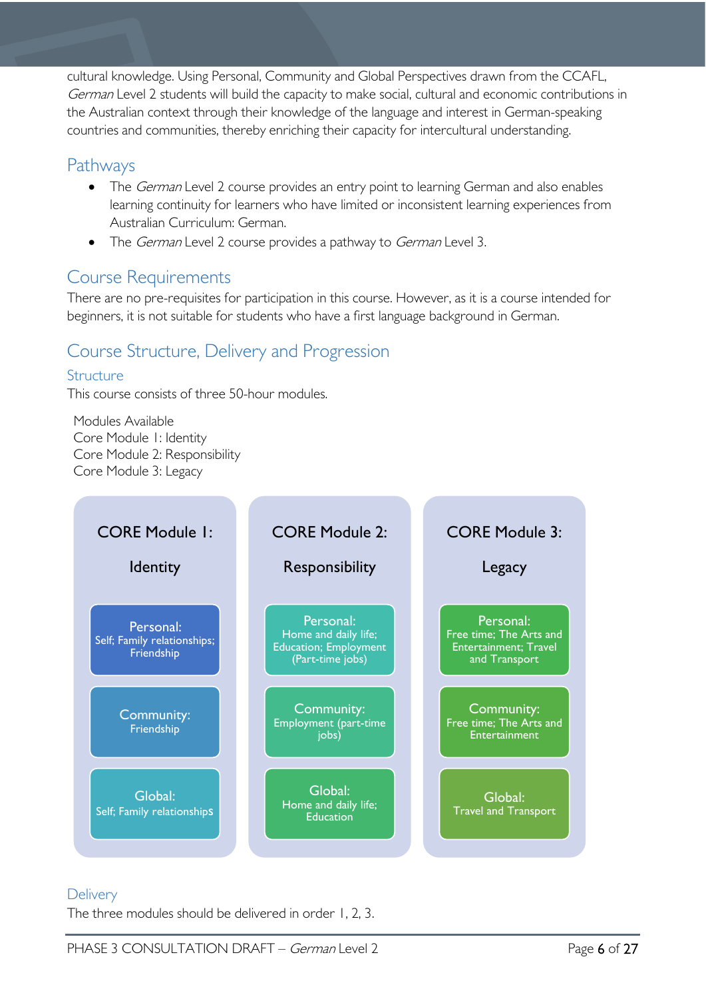cultural knowledge. Using Personal, Community and Global Perspectives drawn from the CCAFL, German Level 2 students will build the capacity to make social, cultural and economic contributions in the Australian context through their knowledge of the language and interest in German-speaking countries and communities, thereby enriching their capacity for intercultural understanding.

### <span id="page-5-0"></span>Pathways

- The German Level 2 course provides an entry point to learning German and also enables learning continuity for learners who have limited or inconsistent learning experiences from Australian Curriculum: German.
- The *German* Level 2 course provides a pathway to *German* Level 3.

# <span id="page-5-1"></span>Course Requirements

There are no pre-requisites for participation in this course. However, as it is a course intended for beginners, it is not suitable for students who have a first language background in German.

# <span id="page-5-2"></span>Course Structure, Delivery and Progression

### <span id="page-5-3"></span>Structure

This course consists of three 50-hour modules.

Modules Available Core Module 1: Identity Core Module 2: Responsibility Core Module 3: Legacy



### <span id="page-5-4"></span>**Delivery**

The three modules should be delivered in order 1, 2, 3.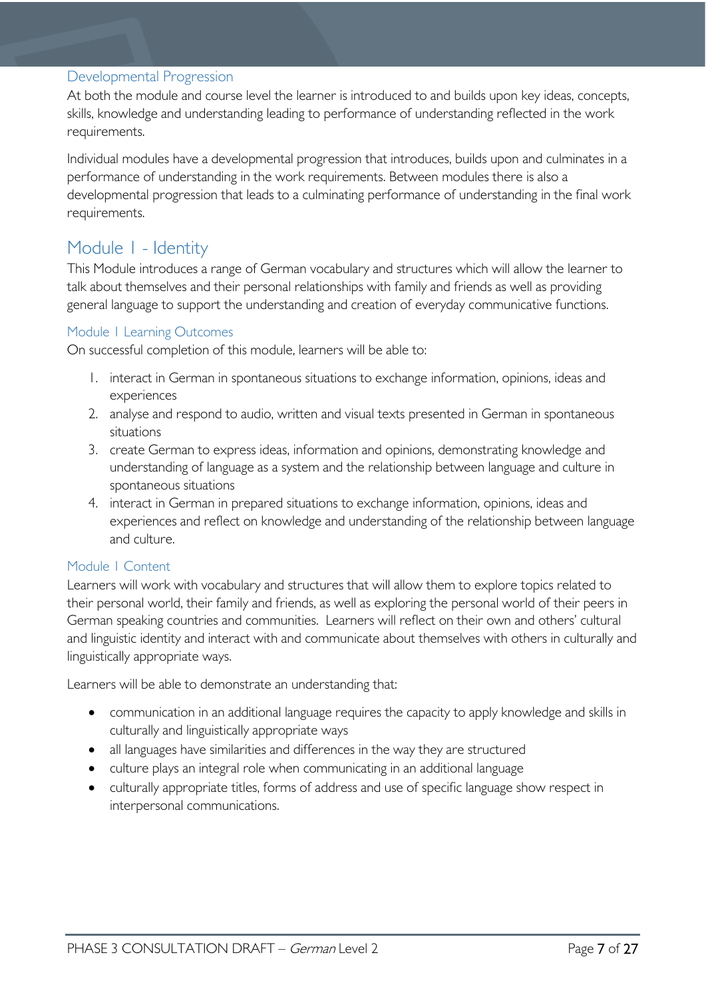### <span id="page-6-0"></span>Developmental Progression

At both the module and course level the learner is introduced to and builds upon key ideas, concepts, skills, knowledge and understanding leading to performance of understanding reflected in the work requirements.

Individual modules have a developmental progression that introduces, builds upon and culminates in a performance of understanding in the work requirements. Between modules there is also a developmental progression that leads to a culminating performance of understanding in the final work requirements.

### <span id="page-6-1"></span>Module 1 - Identity

This Module introduces a range of German vocabulary and structures which will allow the learner to talk about themselves and their personal relationships with family and friends as well as providing general language to support the understanding and creation of everyday communicative functions.

### <span id="page-6-2"></span>Module 1 Learning Outcomes

On successful completion of this module, learners will be able to:

- 1. interact in German in spontaneous situations to exchange information, opinions, ideas and experiences
- 2. analyse and respond to audio, written and visual texts presented in German in spontaneous situations
- 3. create German to express ideas, information and opinions, demonstrating knowledge and understanding of language as a system and the relationship between language and culture in spontaneous situations
- 4. interact in German in prepared situations to exchange information, opinions, ideas and experiences and reflect on knowledge and understanding of the relationship between language and culture.

### <span id="page-6-3"></span>Module 1 Content

Learners will work with vocabulary and structures that will allow them to explore topics related to their personal world, their family and friends, as well as exploring the personal world of their peers in German speaking countries and communities. Learners will reflect on their own and others' cultural and linguistic identity and interact with and communicate about themselves with others in culturally and linguistically appropriate ways.

Learners will be able to demonstrate an understanding that:

- communication in an additional language requires the capacity to apply knowledge and skills in culturally and linguistically appropriate ways
- all languages have similarities and differences in the way they are structured
- culture plays an integral role when communicating in an additional language
- culturally appropriate titles, forms of address and use of specific language show respect in interpersonal communications.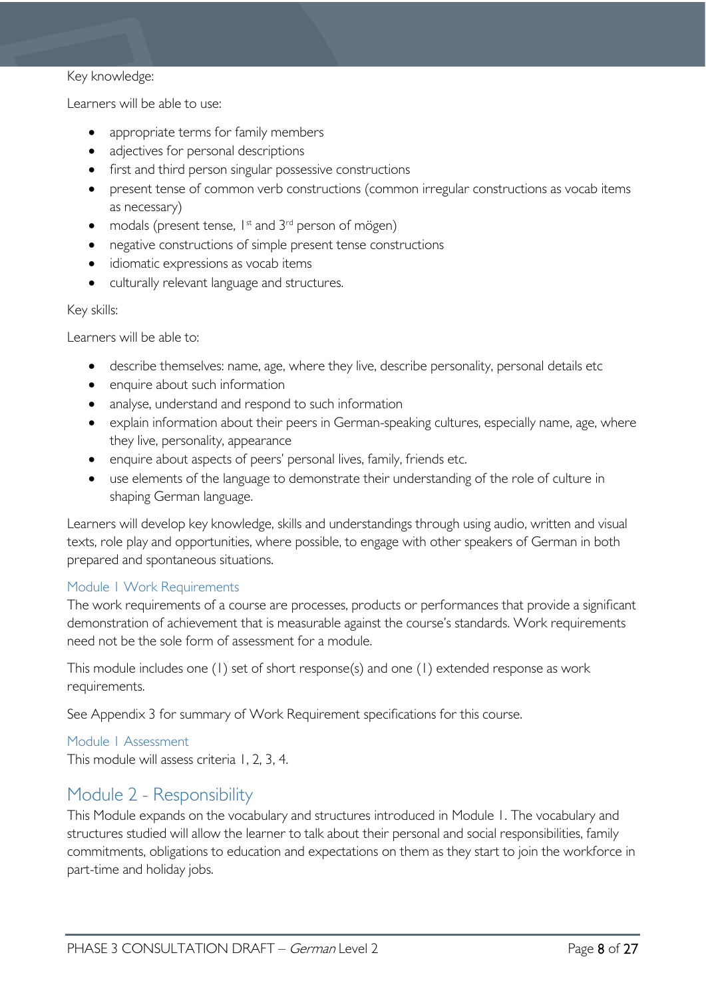#### Key knowledge:

Learners will be able to use:

- appropriate terms for family members
- adjectives for personal descriptions
- first and third person singular possessive constructions
- present tense of common verb constructions (common irregular constructions as vocab items as necessary)
- modals (present tense,  $1^{st}$  and  $3^{rd}$  person of mögen)
- negative constructions of simple present tense constructions
- idiomatic expressions as vocab items
- culturally relevant language and structures.

#### Key skills:

Learners will be able to:

- describe themselves: name, age, where they live, describe personality, personal details etc
- enquire about such information
- analyse, understand and respond to such information
- explain information about their peers in German-speaking cultures, especially name, age, where they live, personality, appearance
- enquire about aspects of peers' personal lives, family, friends etc.
- use elements of the language to demonstrate their understanding of the role of culture in shaping German language.

Learners will develop key knowledge, skills and understandings through using audio, written and visual texts, role play and opportunities, where possible, to engage with other speakers of German in both prepared and spontaneous situations.

### <span id="page-7-0"></span>Module 1 Work Requirements

The work requirements of a course are processes, products or performances that provide a significant demonstration of achievement that is measurable against the course's standards. Work requirements need not be the sole form of assessment for a module.

This module includes one (1) set of short response(s) and one (1) extended response as work requirements.

See Appendix 3 for summary of Work Requirement specifications for this course.

### <span id="page-7-1"></span>Module 1 Assessment

This module will assess criteria 1, 2, 3, 4.

### <span id="page-7-2"></span>Module 2 - Responsibility

This Module expands on the vocabulary and structures introduced in Module 1. The vocabulary and structures studied will allow the learner to talk about their personal and social responsibilities, family commitments, obligations to education and expectations on them as they start to join the workforce in part-time and holiday jobs.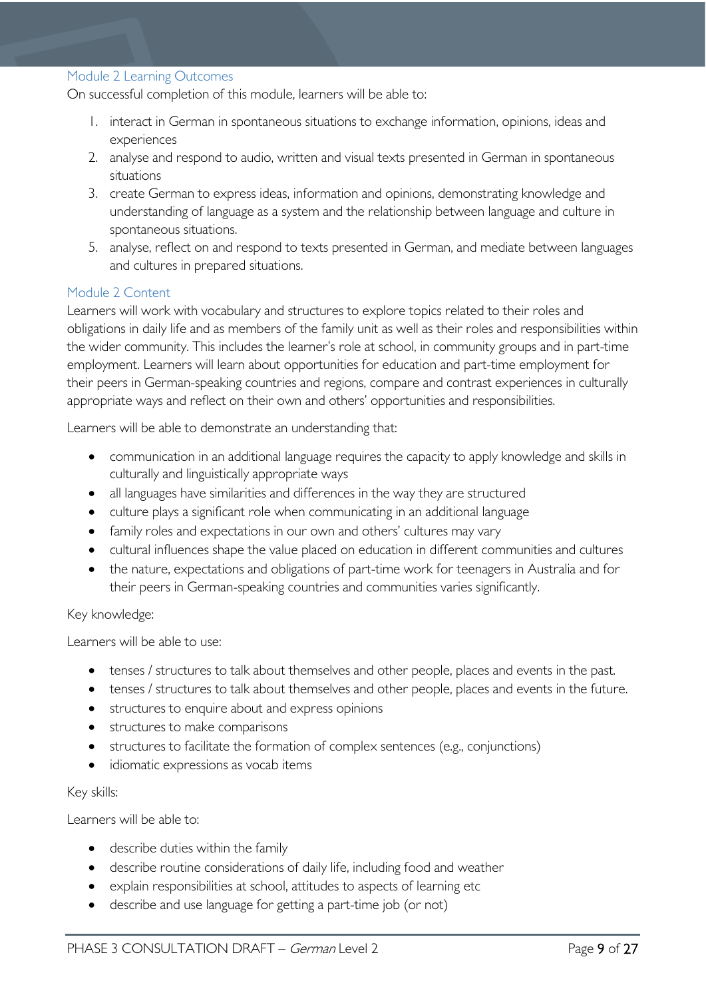#### <span id="page-8-0"></span>Module 2 Learning Outcomes

On successful completion of this module, learners will be able to:

- 1. interact in German in spontaneous situations to exchange information, opinions, ideas and experiences
- 2. analyse and respond to audio, written and visual texts presented in German in spontaneous situations
- 3. create German to express ideas, information and opinions, demonstrating knowledge and understanding of language as a system and the relationship between language and culture in spontaneous situations.
- 5. analyse, reflect on and respond to texts presented in German, and mediate between languages and cultures in prepared situations.

#### <span id="page-8-1"></span>Module 2 Content

Learners will work with vocabulary and structures to explore topics related to their roles and obligations in daily life and as members of the family unit as well as their roles and responsibilities within the wider community. This includes the learner's role at school, in community groups and in part-time employment. Learners will learn about opportunities for education and part-time employment for their peers in German-speaking countries and regions, compare and contrast experiences in culturally appropriate ways and reflect on their own and others' opportunities and responsibilities.

Learners will be able to demonstrate an understanding that:

- communication in an additional language requires the capacity to apply knowledge and skills in culturally and linguistically appropriate ways
- all languages have similarities and differences in the way they are structured
- culture plays a significant role when communicating in an additional language
- family roles and expectations in our own and others' cultures may vary
- cultural influences shape the value placed on education in different communities and cultures
- the nature, expectations and obligations of part-time work for teenagers in Australia and for their peers in German-speaking countries and communities varies significantly.

#### Key knowledge:

Learners will be able to use:

- tenses / structures to talk about themselves and other people, places and events in the past.
- tenses / structures to talk about themselves and other people, places and events in the future.
- structures to enquire about and express opinions
- structures to make comparisons
- structures to facilitate the formation of complex sentences (e.g., conjunctions)
- idiomatic expressions as vocab items

#### Key skills:

Learners will be able to:

- describe duties within the family
- describe routine considerations of daily life, including food and weather
- explain responsibilities at school, attitudes to aspects of learning etc
- describe and use language for getting a part-time job (or not)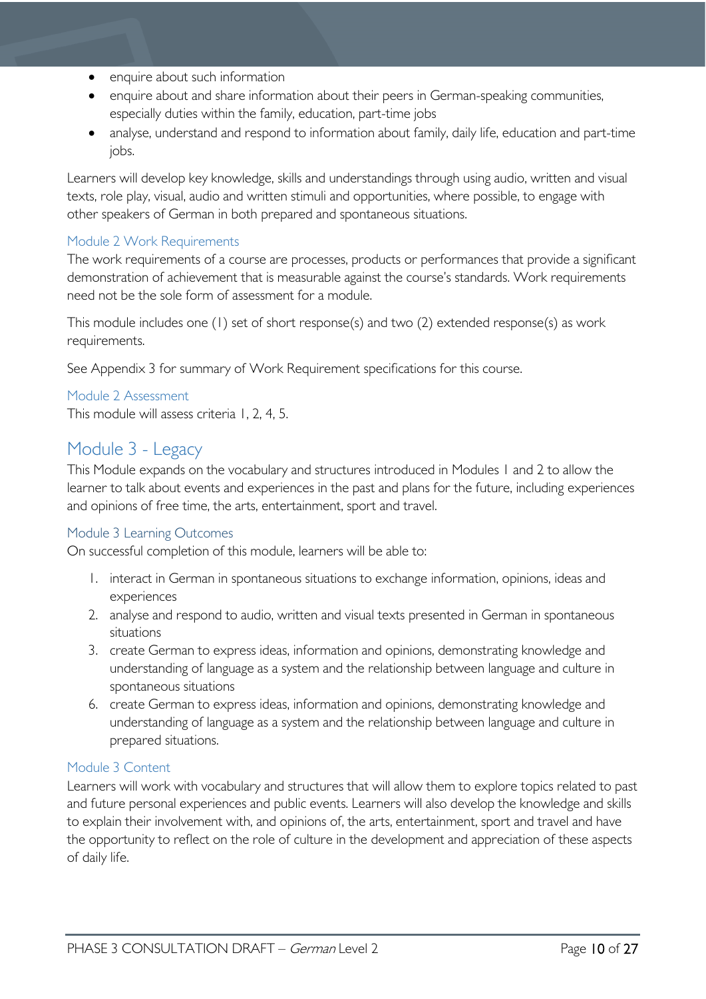- enquire about such information
- enquire about and share information about their peers in German-speaking communities, especially duties within the family, education, part-time jobs
- analyse, understand and respond to information about family, daily life, education and part-time jobs.

Learners will develop key knowledge, skills and understandings through using audio, written and visual texts, role play, visual, audio and written stimuli and opportunities, where possible, to engage with other speakers of German in both prepared and spontaneous situations.

### <span id="page-9-0"></span>Module 2 Work Requirements

The work requirements of a course are processes, products or performances that provide a significant demonstration of achievement that is measurable against the course's standards. Work requirements need not be the sole form of assessment for a module.

This module includes one (1) set of short response(s) and two (2) extended response(s) as work requirements.

See Appendix 3 for summary of Work Requirement specifications for this course.

<span id="page-9-1"></span>Module 2 Assessment This module will assess criteria 1, 2, 4, 5.

### <span id="page-9-2"></span>Module 3 - Legacy

This Module expands on the vocabulary and structures introduced in Modules 1 and 2 to allow the learner to talk about events and experiences in the past and plans for the future, including experiences and opinions of free time, the arts, entertainment, sport and travel.

### <span id="page-9-3"></span>Module 3 Learning Outcomes

On successful completion of this module, learners will be able to:

- 1. interact in German in spontaneous situations to exchange information, opinions, ideas and experiences
- 2. analyse and respond to audio, written and visual texts presented in German in spontaneous situations
- 3. create German to express ideas, information and opinions, demonstrating knowledge and understanding of language as a system and the relationship between language and culture in spontaneous situations
- 6. create German to express ideas, information and opinions, demonstrating knowledge and understanding of language as a system and the relationship between language and culture in prepared situations.

### <span id="page-9-4"></span>Module 3 Content

Learners will work with vocabulary and structures that will allow them to explore topics related to past and future personal experiences and public events. Learners will also develop the knowledge and skills to explain their involvement with, and opinions of, the arts, entertainment, sport and travel and have the opportunity to reflect on the role of culture in the development and appreciation of these aspects of daily life.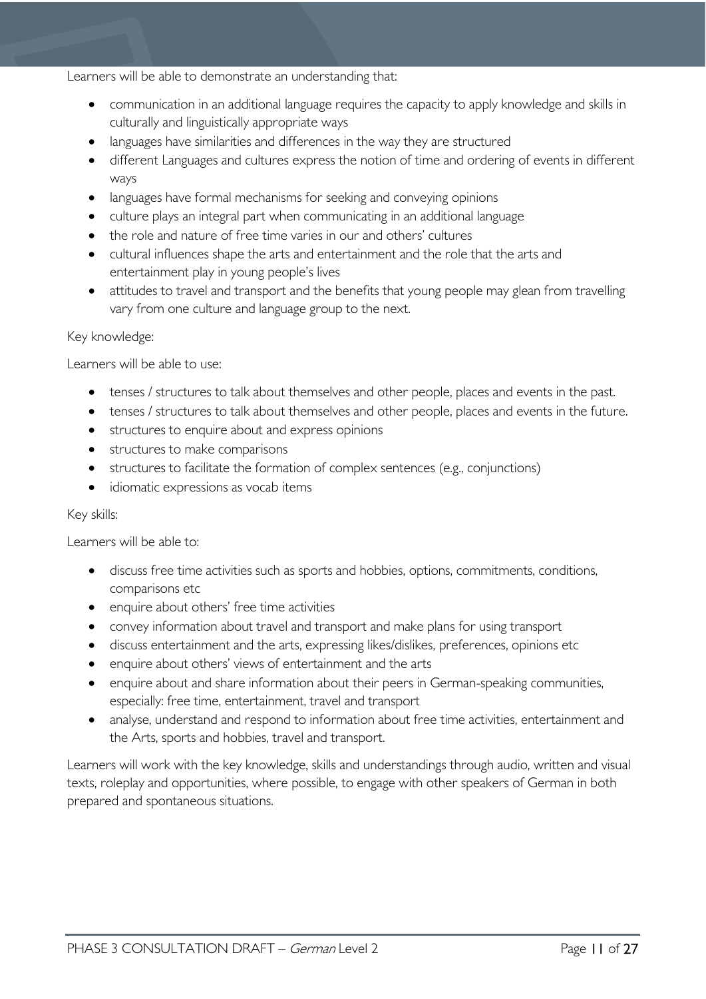#### Learners will be able to demonstrate an understanding that:

- communication in an additional language requires the capacity to apply knowledge and skills in culturally and linguistically appropriate ways
- languages have similarities and differences in the way they are structured
- different Languages and cultures express the notion of time and ordering of events in different ways
- languages have formal mechanisms for seeking and conveying opinions
- culture plays an integral part when communicating in an additional language
- the role and nature of free time varies in our and others' cultures
- cultural influences shape the arts and entertainment and the role that the arts and entertainment play in young people's lives
- attitudes to travel and transport and the benefits that young people may glean from travelling vary from one culture and language group to the next.

### Key knowledge:

Learners will be able to use:

- tenses / structures to talk about themselves and other people, places and events in the past.
- tenses / structures to talk about themselves and other people, places and events in the future.
- structures to enquire about and express opinions
- structures to make comparisons
- structures to facilitate the formation of complex sentences (e.g., conjunctions)
- idiomatic expressions as vocab items

#### Key skills:

Learners will be able to:

- discuss free time activities such as sports and hobbies, options, commitments, conditions, comparisons etc
- enquire about others' free time activities
- convey information about travel and transport and make plans for using transport
- discuss entertainment and the arts, expressing likes/dislikes, preferences, opinions etc
- enquire about others' views of entertainment and the arts
- enquire about and share information about their peers in German-speaking communities, especially: free time, entertainment, travel and transport
- analyse, understand and respond to information about free time activities, entertainment and the Arts, sports and hobbies, travel and transport.

Learners will work with the key knowledge, skills and understandings through audio, written and visual texts, roleplay and opportunities, where possible, to engage with other speakers of German in both prepared and spontaneous situations.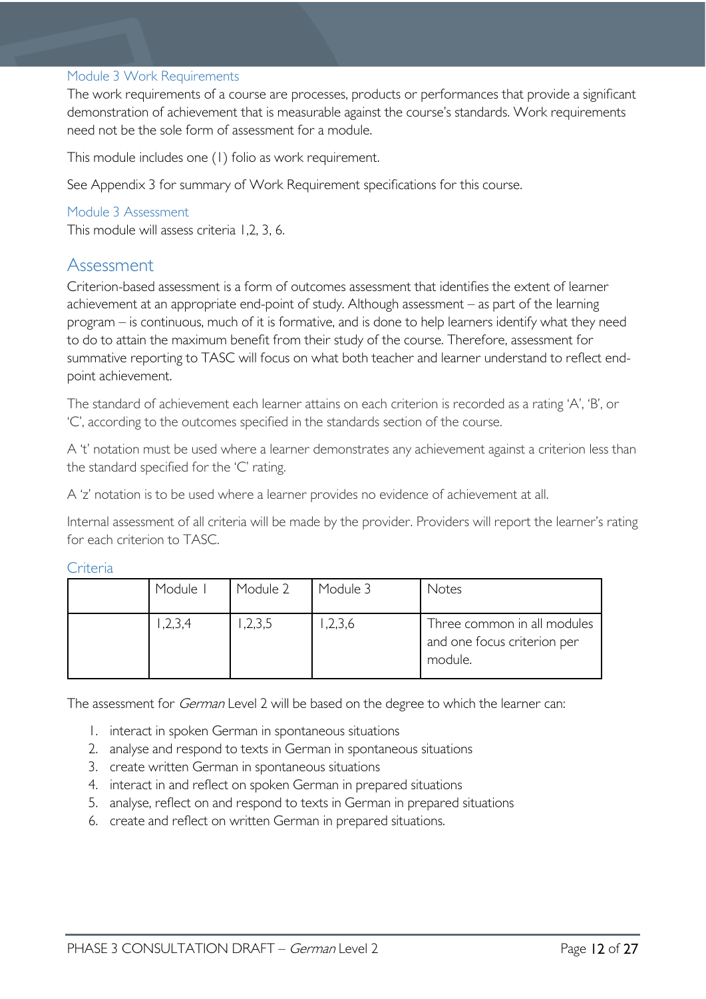#### <span id="page-11-0"></span>Module 3 Work Requirements

The work requirements of a course are processes, products or performances that provide a significant demonstration of achievement that is measurable against the course's standards. Work requirements need not be the sole form of assessment for a module.

This module includes one (1) folio as work requirement.

See Appendix 3 for summary of Work Requirement specifications for this course.

### <span id="page-11-1"></span>Module 3 Assessment

This module will assess criteria 1,2, 3, 6.

### <span id="page-11-2"></span>Assessment

Criterion-based assessment is a form of outcomes assessment that identifies the extent of learner achievement at an appropriate end-point of study. Although assessment – as part of the learning program – is continuous, much of it is formative, and is done to help learners identify what they need to do to attain the maximum benefit from their study of the course. Therefore, assessment for summative reporting to TASC will focus on what both teacher and learner understand to reflect endpoint achievement.

The standard of achievement each learner attains on each criterion is recorded as a rating 'A', 'B', or 'C', according to the outcomes specified in the standards section of the course.

A 't' notation must be used where a learner demonstrates any achievement against a criterion less than the standard specified for the 'C' rating.

A 'z' notation is to be used where a learner provides no evidence of achievement at all.

Internal assessment of all criteria will be made by the provider. Providers will report the learner's rating for each criterion to TASC.

<span id="page-11-3"></span>

| c |  |
|---|--|
|   |  |

| Module I | Module 2 | Module 3 | Notes                                                                 |
|----------|----------|----------|-----------------------------------------------------------------------|
| ,2,3,4   | ,2,3,5   | ,2,3,6   | Three common in all modules<br>and one focus criterion per<br>module. |

The assessment for *German* Level 2 will be based on the degree to which the learner can:

- 1. interact in spoken German in spontaneous situations
- 2. analyse and respond to texts in German in spontaneous situations
- 3. create written German in spontaneous situations
- 4. interact in and reflect on spoken German in prepared situations
- 5. analyse, reflect on and respond to texts in German in prepared situations
- 6. create and reflect on written German in prepared situations.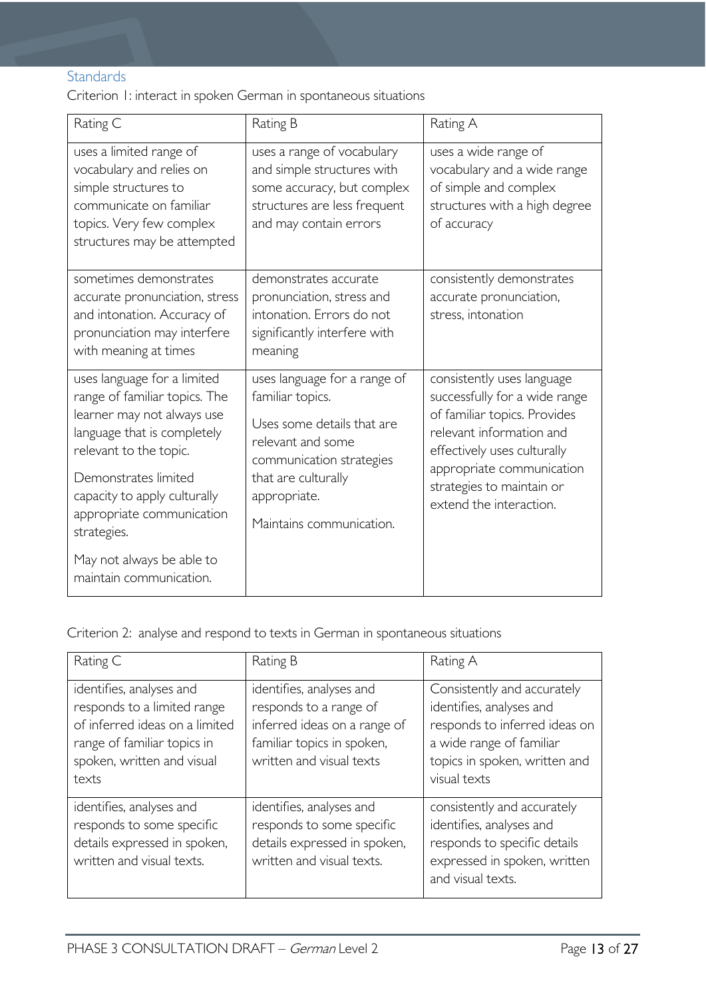### <span id="page-12-0"></span>**Standards**

Criterion 1: interact in spoken German in spontaneous situations

| Rating C                                                                                                                                                                                                                                                | Rating B                                                                                                                                                                                           | Rating A                                                                                                                                                                                                                                    |
|---------------------------------------------------------------------------------------------------------------------------------------------------------------------------------------------------------------------------------------------------------|----------------------------------------------------------------------------------------------------------------------------------------------------------------------------------------------------|---------------------------------------------------------------------------------------------------------------------------------------------------------------------------------------------------------------------------------------------|
| uses a limited range of<br>vocabulary and relies on<br>simple structures to<br>communicate on familiar<br>topics. Very few complex<br>structures may be attempted                                                                                       | uses a range of vocabulary<br>and simple structures with<br>some accuracy, but complex<br>structures are less frequent<br>and may contain errors                                                   | uses a wide range of<br>vocabulary and a wide range<br>of simple and complex<br>structures with a high degree<br>of accuracy                                                                                                                |
| sometimes demonstrates<br>accurate pronunciation, stress<br>and intonation. Accuracy of<br>pronunciation may interfere<br>with meaning at times                                                                                                         | demonstrates accurate<br>pronunciation, stress and<br>intonation. Errors do not<br>significantly interfere with<br>meaning                                                                         | consistently demonstrates<br>accurate pronunciation,<br>stress, intonation                                                                                                                                                                  |
| uses language for a limited<br>range of familiar topics. The<br>learner may not always use<br>language that is completely<br>relevant to the topic.<br>Demonstrates limited<br>capacity to apply culturally<br>appropriate communication<br>strategies. | uses language for a range of<br>familiar topics.<br>Uses some details that are<br>relevant and some<br>communication strategies<br>that are culturally<br>appropriate.<br>Maintains communication. | consistently uses language<br>successfully for a wide range<br>of familiar topics. Provides<br>relevant information and<br>effectively uses culturally<br>appropriate communication<br>strategies to maintain or<br>extend the interaction. |
| May not always be able to<br>maintain communication.                                                                                                                                                                                                    |                                                                                                                                                                                                    |                                                                                                                                                                                                                                             |

Criterion 2: analyse and respond to texts in German in spontaneous situations

| Rating C                                                                                                                                                        | Rating B                                                                                                                                     | Rating A                                                                                                                                                              |
|-----------------------------------------------------------------------------------------------------------------------------------------------------------------|----------------------------------------------------------------------------------------------------------------------------------------------|-----------------------------------------------------------------------------------------------------------------------------------------------------------------------|
| identifies, analyses and<br>responds to a limited range<br>of inferred ideas on a limited<br>range of familiar topics in<br>spoken, written and visual<br>texts | identifies, analyses and<br>responds to a range of<br>inferred ideas on a range of<br>familiar topics in spoken,<br>written and visual texts | Consistently and accurately<br>identifies, analyses and<br>responds to inferred ideas on<br>a wide range of familiar<br>topics in spoken, written and<br>visual texts |
| identifies, analyses and<br>responds to some specific<br>details expressed in spoken,<br>written and visual texts.                                              | identifies, analyses and<br>responds to some specific<br>details expressed in spoken,<br>written and visual texts.                           | consistently and accurately<br>identifies, analyses and<br>responds to specific details<br>expressed in spoken, written<br>and visual texts.                          |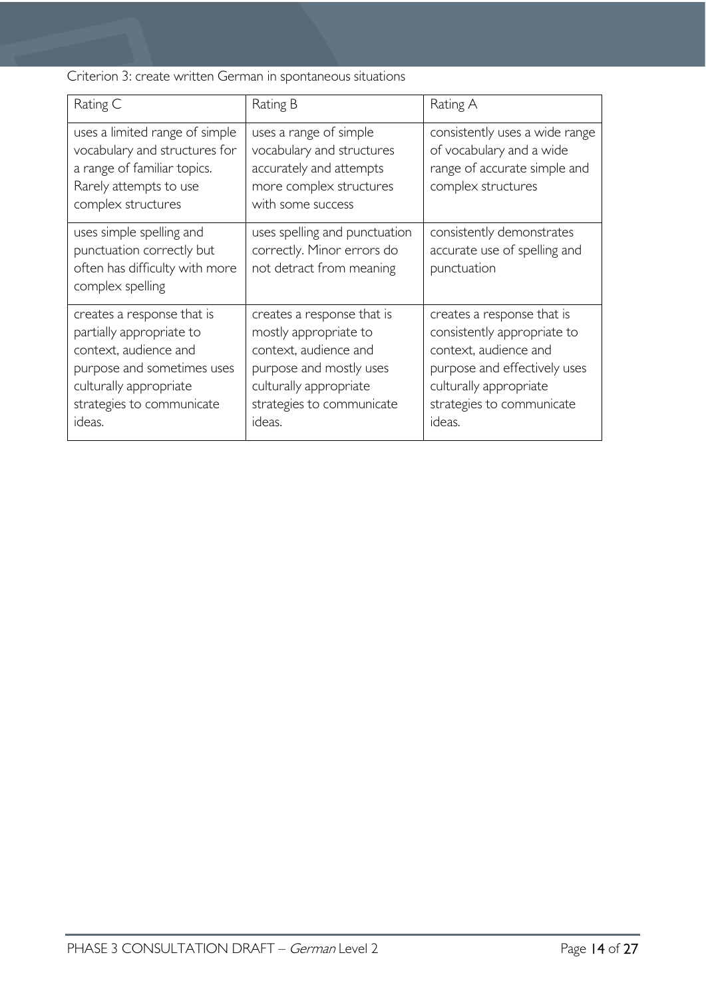Criterion 3: create written German in spontaneous situations

| Rating C                                                                                                                                                                       | Rating B                                                                                                                                                                 | Rating A                                                                                                                                                                            |
|--------------------------------------------------------------------------------------------------------------------------------------------------------------------------------|--------------------------------------------------------------------------------------------------------------------------------------------------------------------------|-------------------------------------------------------------------------------------------------------------------------------------------------------------------------------------|
| uses a limited range of simple<br>vocabulary and structures for<br>a range of familiar topics.<br>Rarely attempts to use<br>complex structures                                 | uses a range of simple<br>vocabulary and structures<br>accurately and attempts<br>more complex structures<br>with some success                                           | consistently uses a wide range<br>of vocabulary and a wide<br>range of accurate simple and<br>complex structures                                                                    |
| uses simple spelling and<br>punctuation correctly but<br>often has difficulty with more<br>complex spelling                                                                    | uses spelling and punctuation<br>correctly. Minor errors do<br>not detract from meaning                                                                                  | consistently demonstrates<br>accurate use of spelling and<br>punctuation                                                                                                            |
| creates a response that is<br>partially appropriate to<br>context, audience and<br>purpose and sometimes uses<br>culturally appropriate<br>strategies to communicate<br>ideas. | creates a response that is<br>mostly appropriate to<br>context, audience and<br>purpose and mostly uses<br>culturally appropriate<br>strategies to communicate<br>ideas. | creates a response that is<br>consistently appropriate to<br>context, audience and<br>purpose and effectively uses<br>culturally appropriate<br>strategies to communicate<br>ideas. |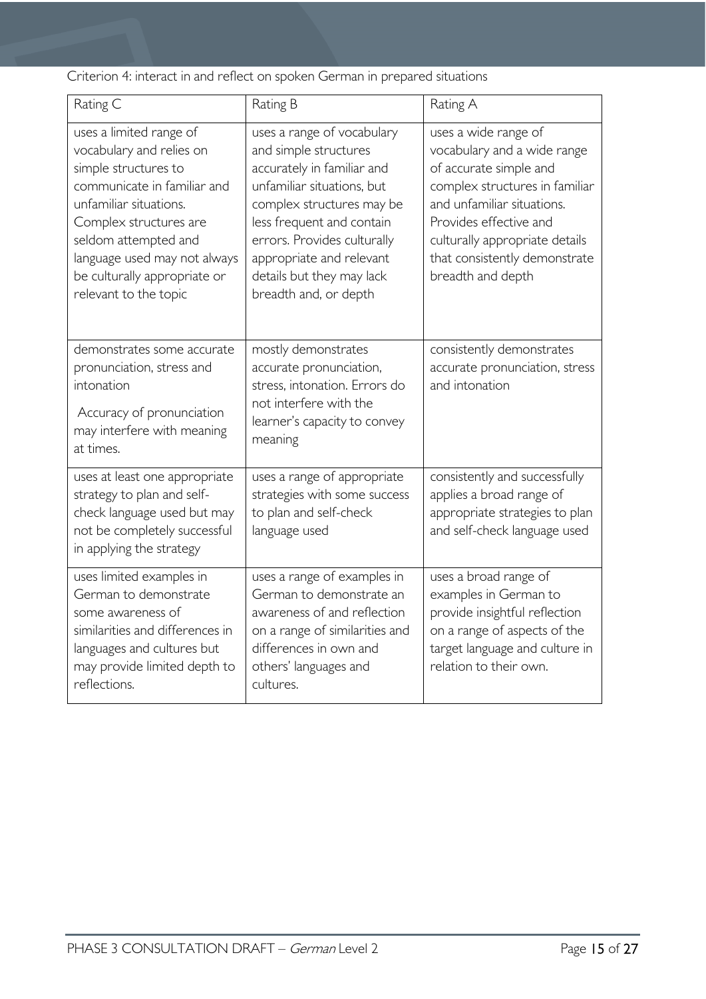Criterion 4: interact in and reflect on spoken German in prepared situations

| Rating C                                                                                                                                                                                                                                                                        | Rating B                                                                                                                                                                                                                                                                                   | Rating A                                                                                                                                                                                                                                                        |
|---------------------------------------------------------------------------------------------------------------------------------------------------------------------------------------------------------------------------------------------------------------------------------|--------------------------------------------------------------------------------------------------------------------------------------------------------------------------------------------------------------------------------------------------------------------------------------------|-----------------------------------------------------------------------------------------------------------------------------------------------------------------------------------------------------------------------------------------------------------------|
| uses a limited range of<br>vocabulary and relies on<br>simple structures to<br>communicate in familiar and<br>unfamiliar situations.<br>Complex structures are<br>seldom attempted and<br>language used may not always<br>be culturally appropriate or<br>relevant to the topic | uses a range of vocabulary<br>and simple structures<br>accurately in familiar and<br>unfamiliar situations, but<br>complex structures may be<br>less frequent and contain<br>errors. Provides culturally<br>appropriate and relevant<br>details but they may lack<br>breadth and, or depth | uses a wide range of<br>vocabulary and a wide range<br>of accurate simple and<br>complex structures in familiar<br>and unfamiliar situations.<br>Provides effective and<br>culturally appropriate details<br>that consistently demonstrate<br>breadth and depth |
| demonstrates some accurate<br>pronunciation, stress and<br>intonation<br>Accuracy of pronunciation<br>may interfere with meaning<br>at times.                                                                                                                                   | mostly demonstrates<br>accurate pronunciation,<br>stress, intonation. Errors do<br>not interfere with the<br>learner's capacity to convey<br>meaning                                                                                                                                       | consistently demonstrates<br>accurate pronunciation, stress<br>and intonation                                                                                                                                                                                   |
| uses at least one appropriate<br>strategy to plan and self-<br>check language used but may<br>not be completely successful<br>in applying the strategy                                                                                                                          | uses a range of appropriate<br>strategies with some success<br>to plan and self-check<br>language used                                                                                                                                                                                     | consistently and successfully<br>applies a broad range of<br>appropriate strategies to plan<br>and self-check language used                                                                                                                                     |
| uses limited examples in<br>German to demonstrate<br>some awareness of<br>similarities and differences in<br>languages and cultures but<br>may provide limited depth to<br>reflections.                                                                                         | uses a range of examples in<br>German to demonstrate an<br>awareness of and reflection<br>on a range of similarities and<br>differences in own and<br>others' languages and<br>cultures.                                                                                                   | uses a broad range of<br>examples in German to<br>provide insightful reflection<br>on a range of aspects of the<br>target language and culture in<br>relation to their own.                                                                                     |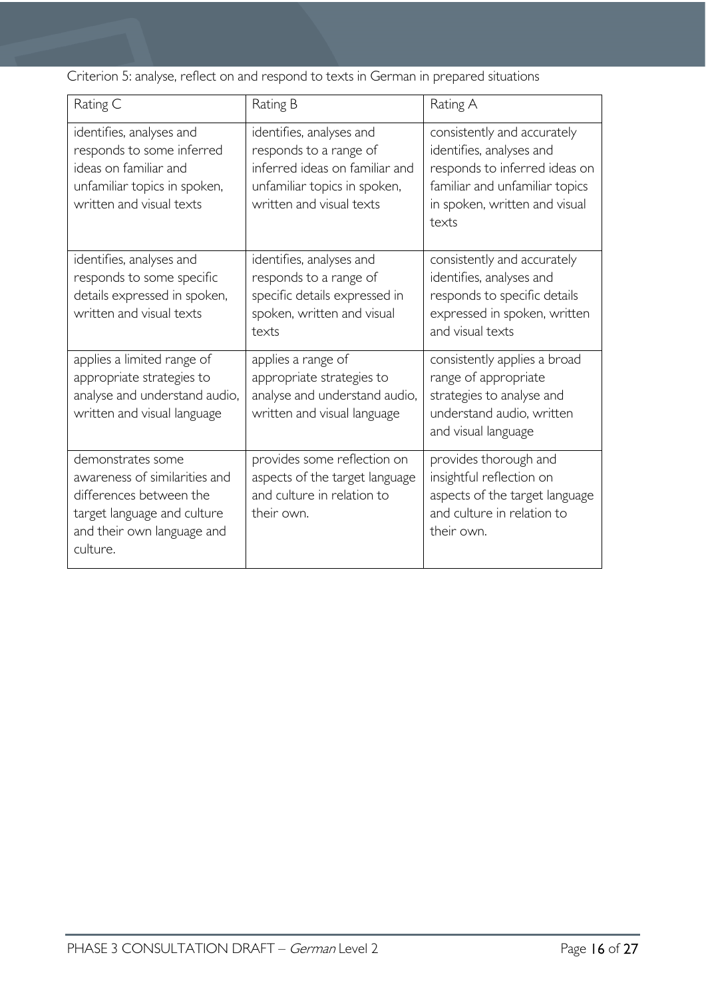Criterion 5: analyse, reflect on and respond to texts in German in prepared situations

| Rating C                                                                                                                                               | Rating B                                                                                                                                         | Rating A                                                                                                                                                             |
|--------------------------------------------------------------------------------------------------------------------------------------------------------|--------------------------------------------------------------------------------------------------------------------------------------------------|----------------------------------------------------------------------------------------------------------------------------------------------------------------------|
| identifies, analyses and<br>responds to some inferred<br>ideas on familiar and<br>unfamiliar topics in spoken,<br>written and visual texts             | identifies, analyses and<br>responds to a range of<br>inferred ideas on familiar and<br>unfamiliar topics in spoken,<br>written and visual texts | consistently and accurately<br>identifies, analyses and<br>responds to inferred ideas on<br>familiar and unfamiliar topics<br>in spoken, written and visual<br>texts |
| identifies, analyses and<br>responds to some specific<br>details expressed in spoken,<br>written and visual texts                                      | identifies, analyses and<br>responds to a range of<br>specific details expressed in<br>spoken, written and visual<br>texts                       | consistently and accurately<br>identifies, analyses and<br>responds to specific details<br>expressed in spoken, written<br>and visual texts                          |
| applies a limited range of<br>appropriate strategies to<br>analyse and understand audio,<br>written and visual language                                | applies a range of<br>appropriate strategies to<br>analyse and understand audio,<br>written and visual language                                  | consistently applies a broad<br>range of appropriate<br>strategies to analyse and<br>understand audio, written<br>and visual language                                |
| demonstrates some<br>awareness of similarities and<br>differences between the<br>target language and culture<br>and their own language and<br>culture. | provides some reflection on<br>aspects of the target language<br>and culture in relation to<br>their own.                                        | provides thorough and<br>insightful reflection on<br>aspects of the target language<br>and culture in relation to<br>their own.                                      |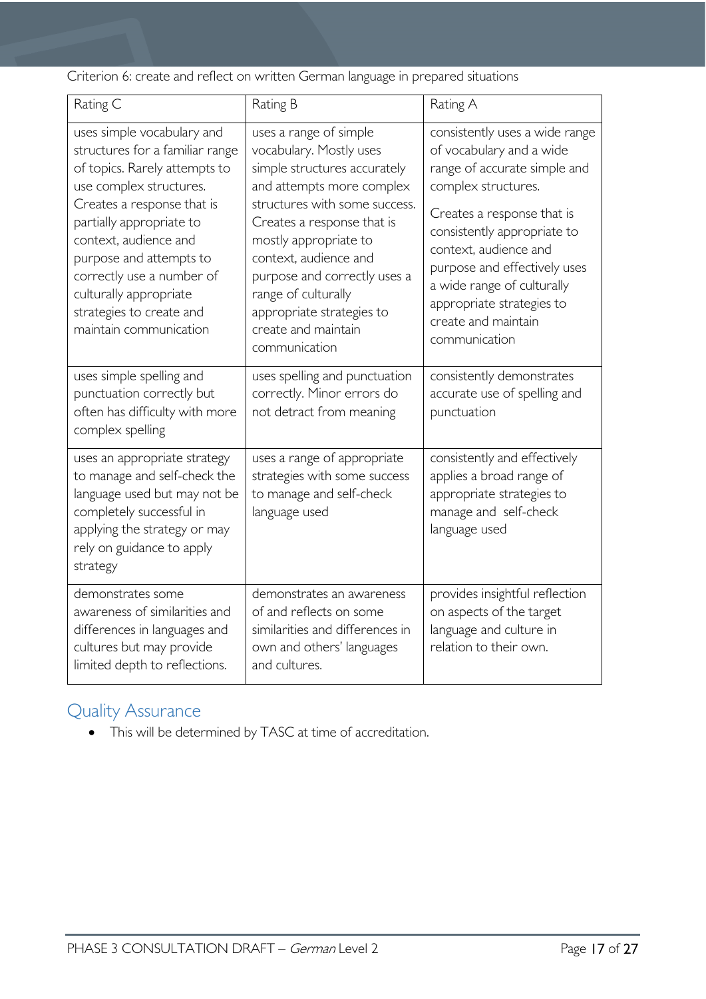Criterion 6: create and reflect on written German language in prepared situations

| Rating C                                                                                                                                                                                                                                                                                                                                             | Rating B                                                                                                                                                                                                                                                                                                                                                    | Rating A                                                                                                                                                                                                                                                                                                                                   |
|------------------------------------------------------------------------------------------------------------------------------------------------------------------------------------------------------------------------------------------------------------------------------------------------------------------------------------------------------|-------------------------------------------------------------------------------------------------------------------------------------------------------------------------------------------------------------------------------------------------------------------------------------------------------------------------------------------------------------|--------------------------------------------------------------------------------------------------------------------------------------------------------------------------------------------------------------------------------------------------------------------------------------------------------------------------------------------|
| uses simple vocabulary and<br>structures for a familiar range<br>of topics. Rarely attempts to<br>use complex structures.<br>Creates a response that is<br>partially appropriate to<br>context, audience and<br>purpose and attempts to<br>correctly use a number of<br>culturally appropriate<br>strategies to create and<br>maintain communication | uses a range of simple<br>vocabulary. Mostly uses<br>simple structures accurately<br>and attempts more complex<br>structures with some success.<br>Creates a response that is<br>mostly appropriate to<br>context, audience and<br>purpose and correctly uses a<br>range of culturally<br>appropriate strategies to<br>create and maintain<br>communication | consistently uses a wide range<br>of vocabulary and a wide<br>range of accurate simple and<br>complex structures.<br>Creates a response that is<br>consistently appropriate to<br>context, audience and<br>purpose and effectively uses<br>a wide range of culturally<br>appropriate strategies to<br>create and maintain<br>communication |
| uses simple spelling and<br>punctuation correctly but<br>often has difficulty with more<br>complex spelling                                                                                                                                                                                                                                          | uses spelling and punctuation<br>correctly. Minor errors do<br>not detract from meaning                                                                                                                                                                                                                                                                     | consistently demonstrates<br>accurate use of spelling and<br>punctuation                                                                                                                                                                                                                                                                   |
| uses an appropriate strategy<br>to manage and self-check the<br>language used but may not be<br>completely successful in<br>applying the strategy or may<br>rely on guidance to apply<br>strategy                                                                                                                                                    | uses a range of appropriate<br>strategies with some success<br>to manage and self-check<br>language used                                                                                                                                                                                                                                                    | consistently and effectively<br>applies a broad range of<br>appropriate strategies to<br>manage and self-check<br>language used                                                                                                                                                                                                            |
| demonstrates some<br>awareness of similarities and<br>differences in languages and<br>cultures but may provide<br>limited depth to reflections.                                                                                                                                                                                                      | demonstrates an awareness<br>of and reflects on some<br>similarities and differences in<br>own and others' languages<br>and cultures.                                                                                                                                                                                                                       | provides insightful reflection<br>on aspects of the target<br>language and culture in<br>relation to their own.                                                                                                                                                                                                                            |

# <span id="page-16-0"></span>Quality Assurance

• This will be determined by TASC at time of accreditation.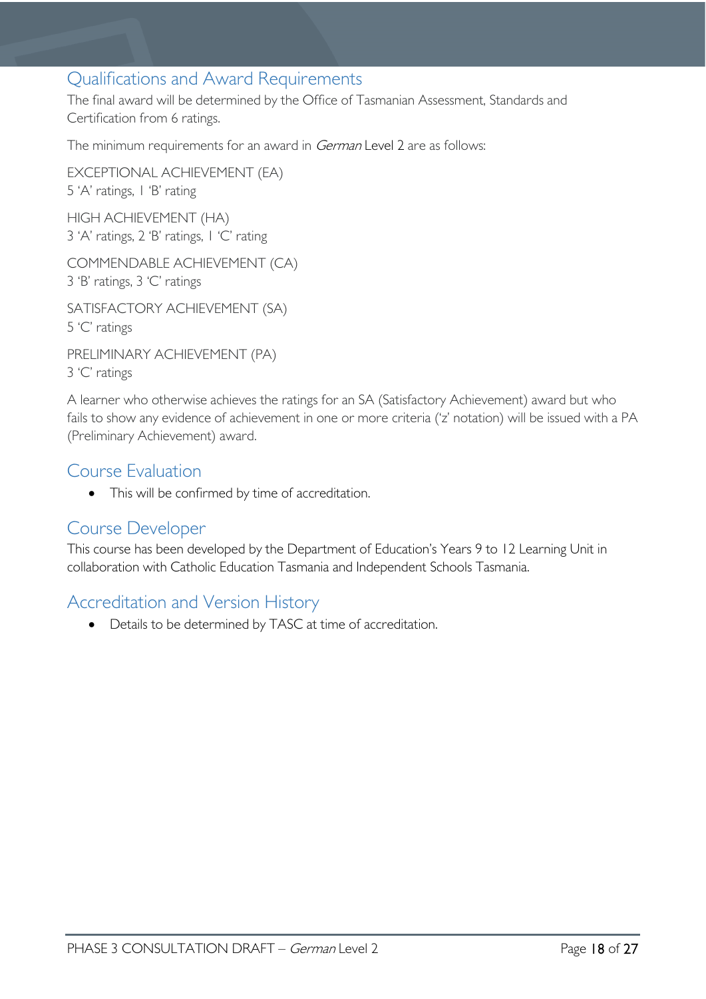### <span id="page-17-0"></span>Qualifications and Award Requirements

The final award will be determined by the Office of Tasmanian Assessment, Standards and Certification from 6 ratings.

The minimum requirements for an award in *German* Level 2 are as follows:

EXCEPTIONAL ACHIEVEMENT (EA) 5 'A' ratings, 1 'B' rating HIGH ACHIEVEMENT (HA) 3 'A' ratings, 2 'B' ratings, 1 'C' rating

COMMENDABLE ACHIEVEMENT (CA) 3 'B' ratings, 3 'C' ratings

SATISFACTORY ACHIEVEMENT (SA) 5 'C' ratings

PRELIMINARY ACHIEVEMENT (PA) 3 'C' ratings

A learner who otherwise achieves the ratings for an SA (Satisfactory Achievement) award but who fails to show any evidence of achievement in one or more criteria ('z' notation) will be issued with a PA (Preliminary Achievement) award.

### <span id="page-17-1"></span>Course Evaluation

• This will be confirmed by time of accreditation.

### <span id="page-17-2"></span>Course Developer

This course has been developed by the Department of Education's Years 9 to 12 Learning Unit in collaboration with Catholic Education Tasmania and Independent Schools Tasmania.

### <span id="page-17-3"></span>Accreditation and Version History

• Details to be determined by TASC at time of accreditation.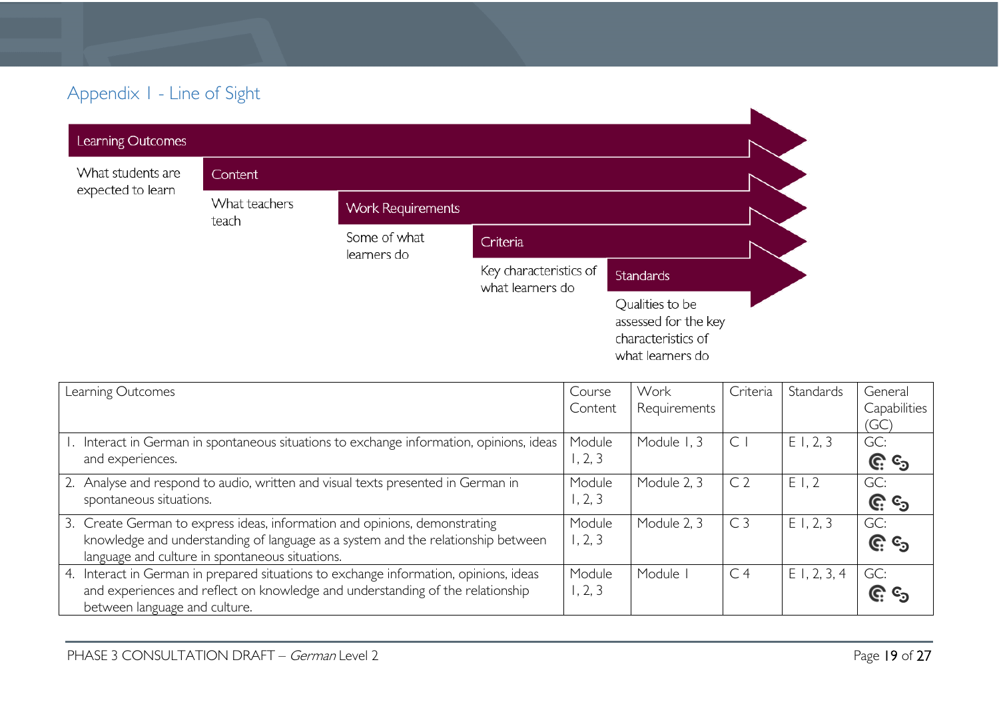# Appendix 1 - Line of Sight

| Learning Outcomes |                        |                             |                                            |                                                                                   |  |
|-------------------|------------------------|-----------------------------|--------------------------------------------|-----------------------------------------------------------------------------------|--|
| What students are | Content                |                             |                                            |                                                                                   |  |
| expected to learn | What teachers<br>teach | <b>Work Requirements</b>    |                                            |                                                                                   |  |
|                   |                        | Some of what<br>learners do | Criteria                                   |                                                                                   |  |
|                   |                        |                             | Key characteristics of<br>what learners do | <b>Standards</b>                                                                  |  |
|                   |                        |                             |                                            | Qualities to be<br>assessed for the key<br>characteristics of<br>what learners do |  |

<span id="page-18-0"></span>

| Learning Outcomes                                                                        | Course<br>Content | Work<br>Requirements | Criteria       | Standards      | General<br>Capabilities |
|------------------------------------------------------------------------------------------|-------------------|----------------------|----------------|----------------|-------------------------|
|                                                                                          |                   |                      |                |                | (GC)                    |
| 1. Interact in German in spontaneous situations to exchange information, opinions, ideas | Module            | Module 1, 3          | C              | E1, 2, 3       | GC:                     |
| and experiences.                                                                         | 1, 2, 3           |                      |                |                | <u>ල</u> ි ල            |
| 2. Analyse and respond to audio, written and visual texts presented in German in         | Module            | Module 2, 3          | C <sub>2</sub> | E1,2           | GC:                     |
| spontaneous situations.                                                                  | 1, 2, 3           |                      |                |                | <u>၉</u> ေ              |
| 3. Create German to express ideas, information and opinions, demonstrating               | Module            | Module 2, 3          | C <sub>3</sub> | E1, 2, 3       | GC:                     |
| knowledge and understanding of language as a system and the relationship between         | 1, 2, 3           |                      |                |                | <u>ල</u> ය              |
| language and culture in spontaneous situations.                                          |                   |                      |                |                |                         |
| 4. Interact in German in prepared situations to exchange information, opinions, ideas    | Module            | Module               | C <sub>4</sub> | $E$ 1, 2, 3, 4 | GC:                     |
| and experiences and reflect on knowledge and understanding of the relationship           | 1, 2, 3           |                      |                |                | <u>၉</u> ေ              |
| between language and culture.                                                            |                   |                      |                |                |                         |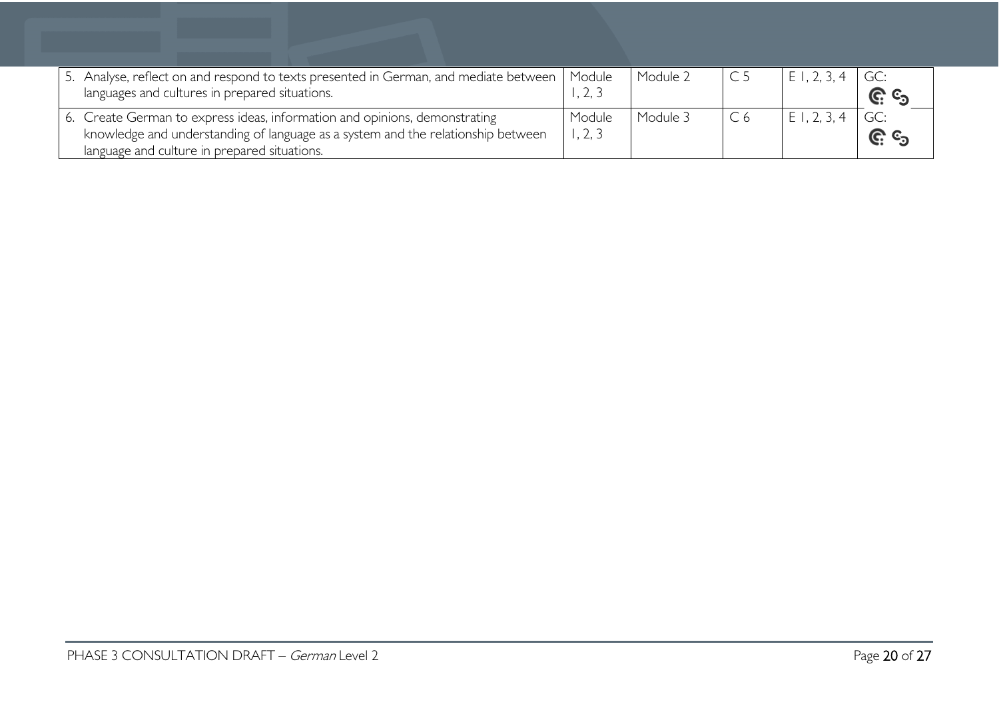| 5. Analyse, reflect on and respond to texts presented in German, and mediate between<br>languages and cultures in prepared situations.                                                                         | Module           | Module 2 | C <sub>5</sub> | 1, 2, 3, 4<br>$\vdash$ 1 | GC:<br><u>ଜୁ କ</u> |
|----------------------------------------------------------------------------------------------------------------------------------------------------------------------------------------------------------------|------------------|----------|----------------|--------------------------|--------------------|
| 6. Create German to express ideas, information and opinions, demonstrating<br>knowledge and understanding of language as a system and the relationship between<br>language and culture in prepared situations. | Module<br>, 2, 3 | Module 3 | C <sub>6</sub> | 1. 2. 3. 4<br>ΕI         | GC:<br><u>ଜ</u> ୍ର |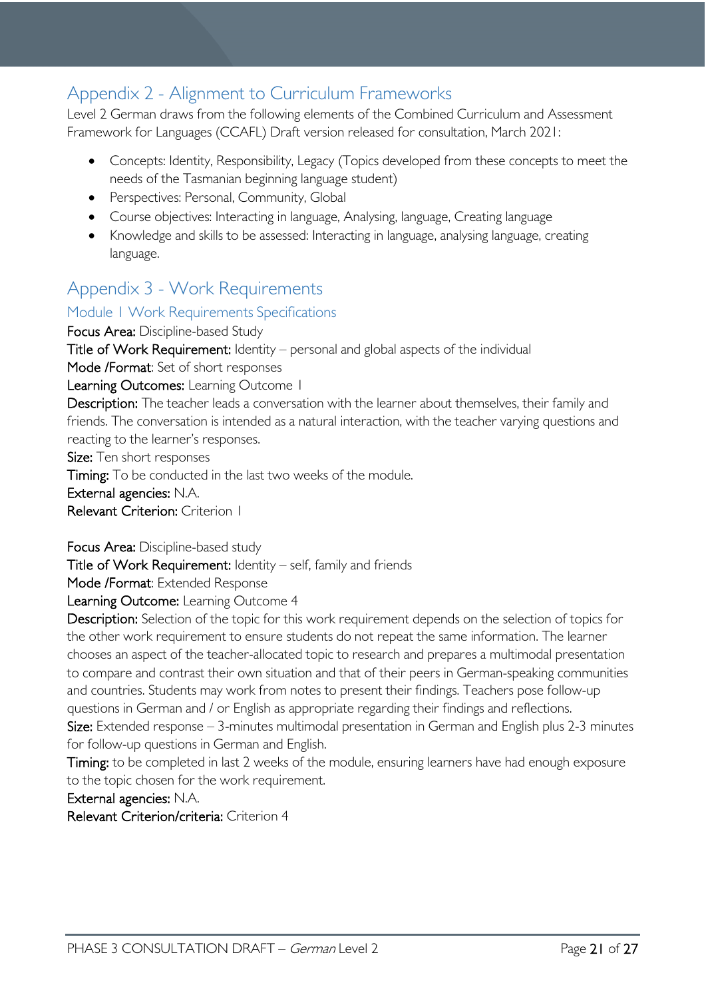# <span id="page-20-0"></span>Appendix 2 - Alignment to Curriculum Frameworks

Level 2 German draws from the following elements of the Combined Curriculum and Assessment Framework for Languages (CCAFL) Draft version released for consultation, March 2021:

- Concepts: Identity, Responsibility, Legacy (Topics developed from these concepts to meet the needs of the Tasmanian beginning language student)
- Perspectives: Personal, Community, Global
- Course objectives: Interacting in language, Analysing, language, Creating language
- Knowledge and skills to be assessed: Interacting in language, analysing language, creating language.

# <span id="page-20-1"></span>Appendix 3 - Work Requirements

### <span id="page-20-2"></span>Module 1 Work Requirements Specifications

Focus Area: Discipline-based Study Title of Work Requirement: Identity – personal and global aspects of the individual Mode /Format: Set of short responses Learning Outcomes: Learning Outcome 1 Description: The teacher leads a conversation with the learner about themselves, their family and friends. The conversation is intended as a natural interaction, with the teacher varying questions and reacting to the learner's responses. Size: Ten short responses Timing: To be conducted in the last two weeks of the module.

External agencies: N.A.

Relevant Criterion: Criterion 1

Focus Area: Discipline-based study

Title of Work Requirement: Identity – self, family and friends

Mode /Format: Extended Response

Learning Outcome: Learning Outcome 4

Description: Selection of the topic for this work requirement depends on the selection of topics for the other work requirement to ensure students do not repeat the same information. The learner chooses an aspect of the teacher-allocated topic to research and prepares a multimodal presentation to compare and contrast their own situation and that of their peers in German-speaking communities and countries. Students may work from notes to present their findings. Teachers pose follow-up questions in German and / or English as appropriate regarding their findings and reflections. Size: Extended response – 3-minutes multimodal presentation in German and English plus 2-3 minutes for follow-up questions in German and English.

Timing: to be completed in last 2 weeks of the module, ensuring learners have had enough exposure to the topic chosen for the work requirement.

External agencies: N.A.

Relevant Criterion/criteria: Criterion 4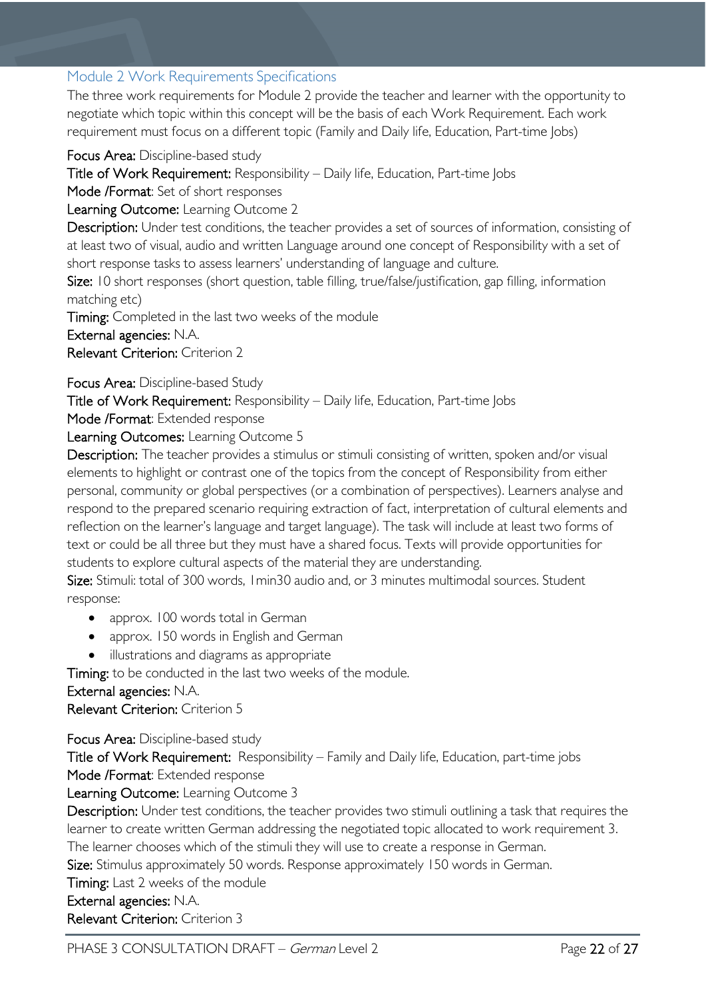### <span id="page-21-0"></span>Module 2 Work Requirements Specifications

The three work requirements for Module 2 provide the teacher and learner with the opportunity to negotiate which topic within this concept will be the basis of each Work Requirement. Each work requirement must focus on a different topic (Family and Daily life, Education, Part-time Jobs)

Focus Area: Discipline-based study

Title of Work Requirement: Responsibility – Daily life, Education, Part-time Jobs

Mode /Format: Set of short responses

Learning Outcome: Learning Outcome 2

Description: Under test conditions, the teacher provides a set of sources of information, consisting of at least two of visual, audio and written Language around one concept of Responsibility with a set of short response tasks to assess learners' understanding of language and culture.

Size: 10 short responses (short question, table filling, true/false/justification, gap filling, information matching etc)

Timing: Completed in the last two weeks of the module

External agencies: N.A.

Relevant Criterion: Criterion 2

Focus Area: Discipline-based Study

Title of Work Requirement: Responsibility – Daily life, Education, Part-time Jobs

Mode /Format: Extended response

Learning Outcomes: Learning Outcome 5

Description: The teacher provides a stimulus or stimuli consisting of written, spoken and/or visual elements to highlight or contrast one of the topics from the concept of Responsibility from either personal, community or global perspectives (or a combination of perspectives). Learners analyse and respond to the prepared scenario requiring extraction of fact, interpretation of cultural elements and reflection on the learner's language and target language). The task will include at least two forms of text or could be all three but they must have a shared focus. Texts will provide opportunities for students to explore cultural aspects of the material they are understanding.

Size: Stimuli: total of 300 words, 1min30 audio and, or 3 minutes multimodal sources. Student response:

- approx. 100 words total in German
- approx. 150 words in English and German
- illustrations and diagrams as appropriate

Timing: to be conducted in the last two weeks of the module.

#### External agencies: N.A.

Relevant Criterion: Criterion 5

Focus Area: Discipline-based study

Title of Work Requirement: Responsibility – Family and Daily life, Education, part-time jobs Mode /Format: Extended response

Learning Outcome: Learning Outcome 3

Description: Under test conditions, the teacher provides two stimuli outlining a task that requires the learner to create written German addressing the negotiated topic allocated to work requirement 3. The learner chooses which of the stimuli they will use to create a response in German.

Size: Stimulus approximately 50 words. Response approximately 150 words in German.

Timing: Last 2 weeks of the module

External agencies: N.A.

Relevant Criterion: Criterion 3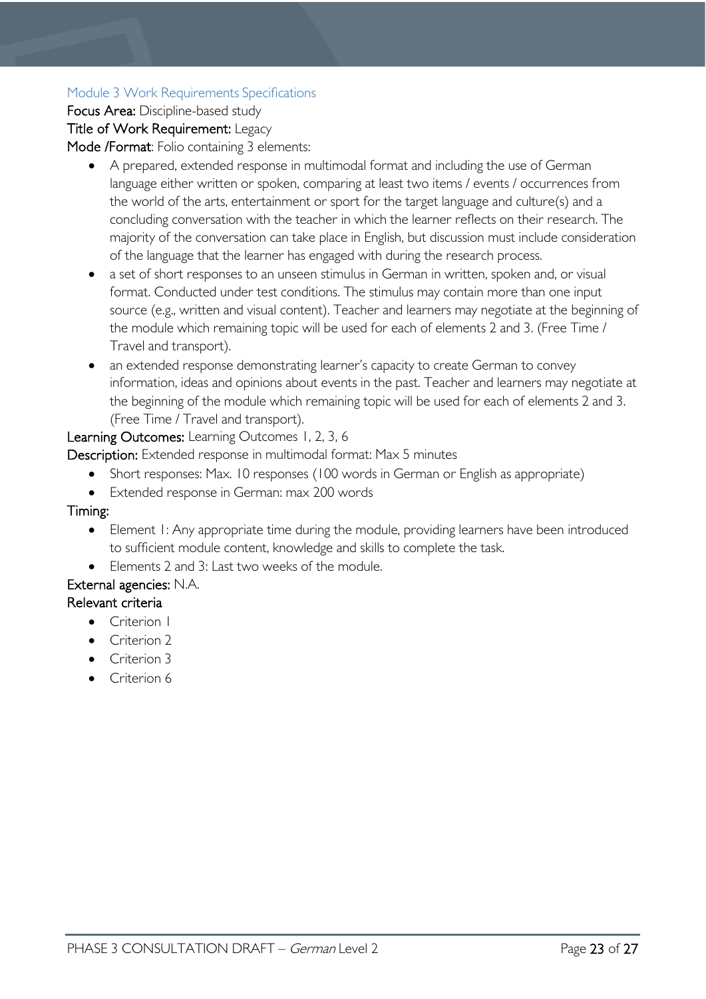### Module 3 Work Requirements Specifications

Focus Area: Discipline-based study Title of Work Requirement: Legacy Mode /Format: Folio containing 3 elements:

- A prepared, extended response in multimodal format and including the use of German language either written or spoken, comparing at least two items / events / occurrences from the world of the arts, entertainment or sport for the target language and culture(s) and a concluding conversation with the teacher in which the learner reflects on their research. The majority of the conversation can take place in English, but discussion must include consideration of the language that the learner has engaged with during the research process.
- a set of short responses to an unseen stimulus in German in written, spoken and, or visual format. Conducted under test conditions. The stimulus may contain more than one input source (e.g., written and visual content). Teacher and learners may negotiate at the beginning of the module which remaining topic will be used for each of elements 2 and 3. (Free Time / Travel and transport).
- an extended response demonstrating learner's capacity to create German to convey information, ideas and opinions about events in the past. Teacher and learners may negotiate at the beginning of the module which remaining topic will be used for each of elements 2 and 3. (Free Time / Travel and transport).

### Learning Outcomes: Learning Outcomes 1, 2, 3, 6

Description: Extended response in multimodal format: Max 5 minutes

- Short responses: Max. 10 responses (100 words in German or English as appropriate)
- Extended response in German: max 200 words

### Timing:

- Element 1: Any appropriate time during the module, providing learners have been introduced to sufficient module content, knowledge and skills to complete the task.
- Elements 2 and 3: Last two weeks of the module.

### External agencies: N.A.

### Relevant criteria

- Criterion 1
- Criterion 2
- Criterion 3
- Criterion 6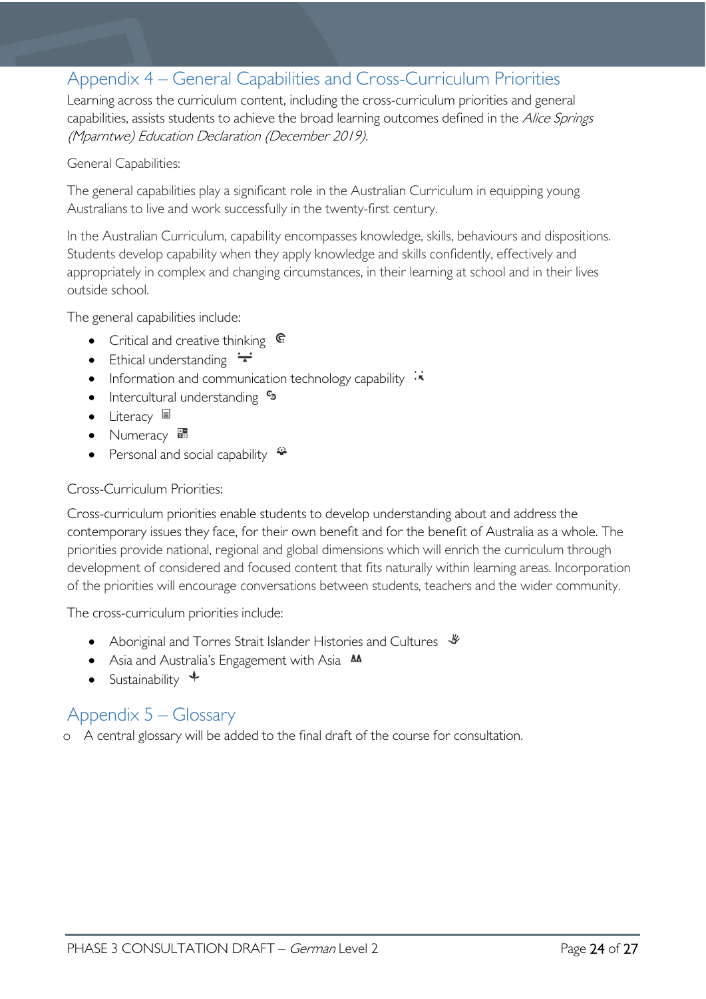## <span id="page-23-0"></span>Appendix 4 – General Capabilities and Cross-Curriculum Priorities

Learning across the curriculum content, including the cross-curriculum priorities and general capabilities, assists students to achieve the broad learning outcomes defined in the Alice Springs (Mparntwe) Education Declaration (December 2019).

#### General Capabilities:

The general capabilities play a significant role in the Australian Curriculum in equipping young Australians to live and work successfully in the twenty-first century.

In the Australian Curriculum, capability encompasses knowledge, skills, behaviours and dispositions. Students develop capability when they apply knowledge and skills confidently, effectively and appropriately in complex and changing circumstances, in their learning at school and in their lives outside school.

The general capabilities include:

- Critical and creative thinking  $\mathbb{C}$
- Ethical understanding  $\div$
- Information and communication technology capability  $\cdot \cdot$
- Intercultural understanding  $\epsilon_3$
- Literacy  $\blacksquare$
- Numeracy
- Personal and social capability  $\ddot{\ddot{}}$

#### Cross-Curriculum Priorities:

Cross-curriculum priorities enable students to develop understanding about and address the contemporary issues they face, for their own benefit and for the benefit of Australia as a whole. The priorities provide national, regional and global dimensions which will enrich the curriculum through development of considered and focused content that fits naturally within learning areas. Incorporation of the priorities will encourage conversations between students, teachers and the wider community.

The cross-curriculum priorities include:

- Aboriginal and Torres Strait Islander Histories and Cultures  $\mathcal$
- Asia and Australia's Engagement with Asia **MA**
- Sustainability  $\triangleleft$

### <span id="page-23-1"></span>Appendix 5 – Glossary

o A central glossary will be added to the final draft of the course for consultation.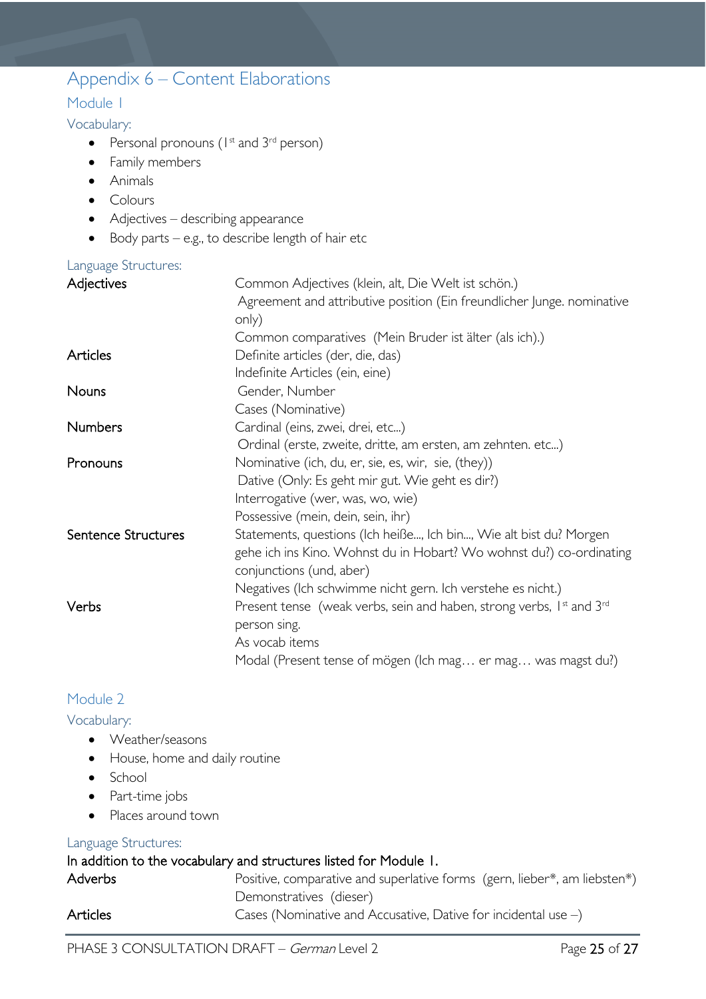# <span id="page-24-0"></span>Appendix 6 – Content Elaborations

### <span id="page-24-1"></span>Module 1

<span id="page-24-2"></span>Vocabulary:

- Personal pronouns ( $1<sup>st</sup>$  and  $3<sup>rd</sup>$  person)
- Family members
- Animals
- Colours
- Adjectives describing appearance
- Body parts e.g., to describe length of hair etc

### <span id="page-24-3"></span>Language Structures:

| Adjectives          | Common Adjectives (klein, alt, Die Welt ist schön.)                                          |
|---------------------|----------------------------------------------------------------------------------------------|
|                     | Agreement and attributive position (Ein freundlicher Junge. nominative                       |
|                     | only)                                                                                        |
|                     | Common comparatives (Mein Bruder ist älter (als ich).)                                       |
| Articles            | Definite articles (der, die, das)                                                            |
|                     | Indefinite Articles (ein, eine)                                                              |
| <b>Nouns</b>        | Gender, Number                                                                               |
|                     | Cases (Nominative)                                                                           |
| <b>Numbers</b>      | Cardinal (eins, zwei, drei, etc)                                                             |
|                     | Ordinal (erste, zweite, dritte, am ersten, am zehnten. etc)                                  |
| Pronouns            | Nominative (ich, du, er, sie, es, wir, sie, (they))                                          |
|                     | Dative (Only: Es geht mir gut. Wie geht es dir?)                                             |
|                     | Interrogative (wer, was, wo, wie)                                                            |
|                     | Possessive (mein, dein, sein, ihr)                                                           |
| Sentence Structures | Statements, questions (Ich heiße, Ich bin, Wie alt bist du? Morgen                           |
|                     | gehe ich ins Kino. Wohnst du in Hobart? Wo wohnst du?) co-ordinating                         |
|                     | conjunctions (und, aber)                                                                     |
|                     | Negatives (Ich schwimme nicht gern. Ich verstehe es nicht.)                                  |
| Verbs               | Present tense (weak verbs, sein and haben, strong verbs, 1 <sup>st</sup> and 3 <sup>rd</sup> |
|                     | person sing.                                                                                 |
|                     | As vocab items                                                                               |
|                     | Modal (Present tense of mögen (Ich mag er mag was magst du?)                                 |
|                     |                                                                                              |

### <span id="page-24-4"></span>Module 2

### <span id="page-24-5"></span>Vocabulary:

- Weather/seasons
- House, home and daily routine
- School
- Part-time jobs
- Places around town

### <span id="page-24-6"></span>Language Structures:

### In addition to the vocabulary and structures listed for Module 1.

| <b>Adverbs</b> | Positive, comparative and superlative forms (gern, lieber*, am liebsten*) |
|----------------|---------------------------------------------------------------------------|
|                | Demonstratives (dieser)                                                   |
| Articles       | Cases (Nominative and Accusative, Dative for incidental use $-$ )         |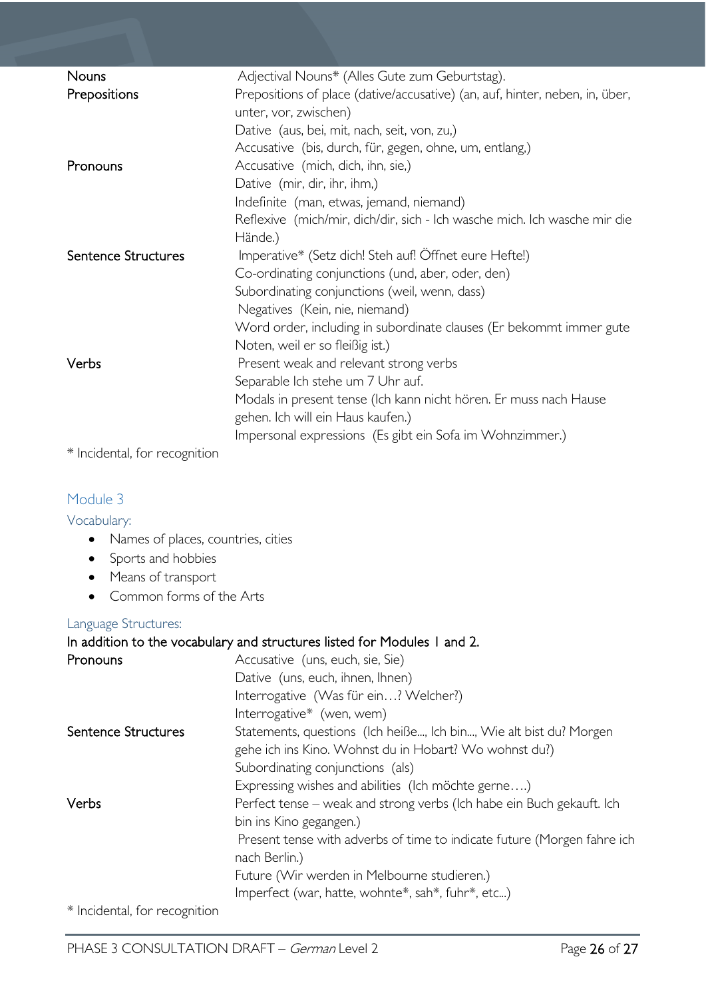| Nouns               | Adjectival Nouns* (Alles Gute zum Geburtstag).                               |
|---------------------|------------------------------------------------------------------------------|
| Prepositions        | Prepositions of place (dative/accusative) (an, auf, hinter, neben, in, über, |
|                     | unter, vor, zwischen)                                                        |
|                     | Dative (aus, bei, mit, nach, seit, von, zu,)                                 |
|                     | Accusative (bis, durch, für, gegen, ohne, um, entlang,)                      |
| Pronouns            | Accusative (mich, dich, ihn, sie,)                                           |
|                     | Dative (mir, dir, ihr, ihm,)                                                 |
|                     | Indefinite (man, etwas, jemand, niemand)                                     |
|                     | Reflexive (mich/mir, dich/dir, sich - Ich wasche mich. Ich wasche mir die    |
|                     | Hände.)                                                                      |
| Sentence Structures | Imperative* (Setz dich! Steh auf! Öffnet eure Hefte!)                        |
|                     | Co-ordinating conjunctions (und, aber, oder, den)                            |
|                     | Subordinating conjunctions (weil, wenn, dass)                                |
|                     | Negatives (Kein, nie, niemand)                                               |
|                     | Word order, including in subordinate clauses (Er bekommt immer gute          |
|                     | Noten, weil er so fleißig ist.)                                              |
| Verbs               | Present weak and relevant strong verbs                                       |
|                     | Separable Ich stehe um 7 Uhr auf.                                            |
|                     | Modals in present tense (Ich kann nicht hören. Er muss nach Hause            |
|                     | gehen. Ich will ein Haus kaufen.)                                            |
|                     | Impersonal expressions (Es gibt ein Sofa im Wohnzimmer.)                     |
|                     |                                                                              |

\* Incidental, for recognition

### <span id="page-25-0"></span>Module 3

<span id="page-25-1"></span>Vocabulary:

- Names of places, countries, cities
- Sports and hobbies
- Means of transport
- Common forms of the Arts

### <span id="page-25-2"></span>Language Structures:

|                               | In addition to the vocabulary and structures listed for Modules 1 and 2. |
|-------------------------------|--------------------------------------------------------------------------|
| Pronouns                      | Accusative (uns, euch, sie, Sie)                                         |
|                               | Dative (uns, euch, ihnen, Ihnen)                                         |
|                               | Interrogative (Was für ein? Welcher?)                                    |
|                               | Interrogative* (wen, wem)                                                |
| Sentence Structures           | Statements, questions (Ich heiße, Ich bin, Wie alt bist du? Morgen       |
|                               | gehe ich ins Kino. Wohnst du in Hobart? Wo wohnst du?)                   |
|                               | Subordinating conjunctions (als)                                         |
|                               | Expressing wishes and abilities (Ich möchte gerne)                       |
| Verbs                         | Perfect tense – weak and strong verbs (Ich habe ein Buch gekauft. Ich    |
|                               | bin ins Kino gegangen.)                                                  |
|                               | Present tense with adverbs of time to indicate future (Morgen fahre ich  |
|                               | nach Berlin.)                                                            |
|                               | Future (Wir werden in Melbourne studieren.)                              |
|                               | Imperfect (war, hatte, wohnte*, sah*, fuhr*, etc)                        |
| * Incidental, for recognition |                                                                          |

PHASE 3 CONSULTATION DRAFT – German Level 2 Page 26 of 27